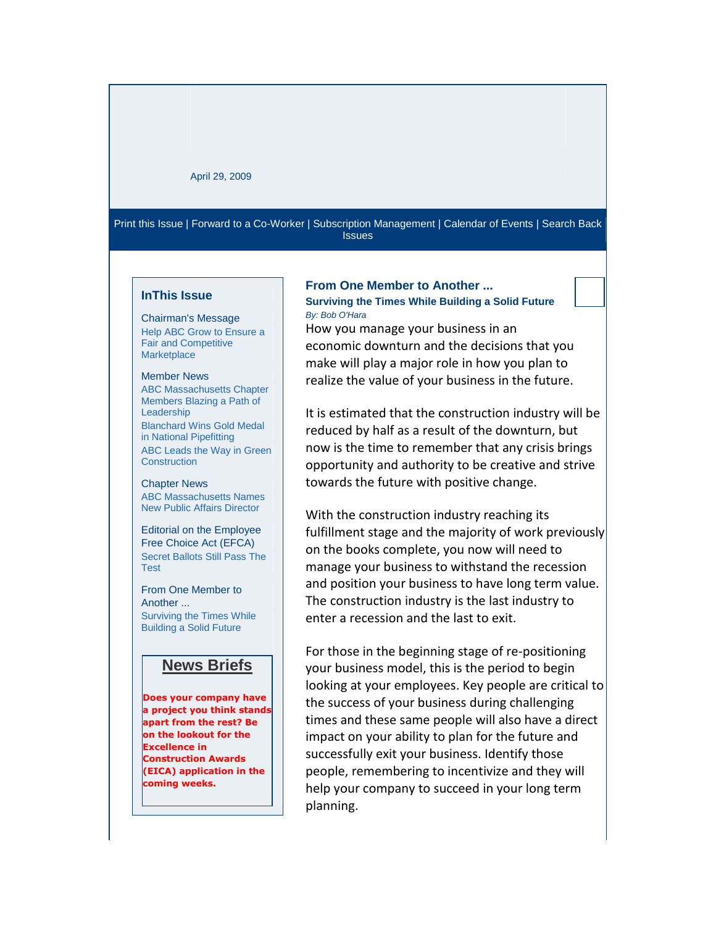### April 29, 2009

[Print this Issue](http://newsmanager.commpartners.com/abcma/textonly/printall.php?id=abcma20090424) | [Forward to a Co-Worker](http://newsmanager.commpartners.com/forward2friend.php?issue_id=abcma20090424) [| Subscription Management](http://www.magnetmail.net/actions/subscription_manage.cfm?user_id=newsletterid&email=INSERT_EMAIL&message_id=INCLUDEMESSAGEID) [| Calendar of Events](http://www.abcma.org/Publications/Upcoming_Events/Calendar.aspx) [| Search Back](http://newsmanager.commpartners.com/abcma/issues/)  [Issues](http://newsmanager.commpartners.com/abcma/issues/)

### **InThis Issue**

Chairman's Message [Help ABC Grow to Ensure a](http://newsmanager.commpartners.com/abcma/issues/2009-04-29/index.html)  [Fair and Competitive](http://newsmanager.commpartners.com/abcma/issues/2009-04-29/index.html)  **[Marketplace](http://newsmanager.commpartners.com/abcma/issues/2009-04-29/index.html)** 

#### Member News

[ABC Massachusetts Chapter](http://newsmanager.commpartners.com/abcma/issues/2009-04-29/1.html)  [Members Blazing a Path of](http://newsmanager.commpartners.com/abcma/issues/2009-04-29/1.html)  [Leadership](http://newsmanager.commpartners.com/abcma/issues/2009-04-29/1.html) [Blanchard Wins Gold Medal](http://newsmanager.commpartners.com/abcma/issues/2009-04-29/2.html)  [in National Pipefitting](http://newsmanager.commpartners.com/abcma/issues/2009-04-29/2.html) [ABC Leads the Way in Green](http://newsmanager.commpartners.com/abcma/issues/2009-04-29/3.html)  **[Construction](http://newsmanager.commpartners.com/abcma/issues/2009-04-29/3.html)** 

#### Chapter News [ABC Massachusetts Names](http://newsmanager.commpartners.com/abcma/issues/2009-04-29/4.html)

[New Public Affairs Director](http://newsmanager.commpartners.com/abcma/issues/2009-04-29/4.html)

Editorial on the Employee Free Choice Act (EFCA) [Secret Ballots Still Pass The](http://newsmanager.commpartners.com/abcma/issues/2009-04-29/5.html)  [Test](http://newsmanager.commpartners.com/abcma/issues/2009-04-29/5.html)

From One Member to Another ... [Surviving the Times While](mhtml:file://G:/Bob%20Ohara/uncertain%20economic%20times%20articles/ABC%20Newsletter%20-%2004-29-2009.mht!http://newsmanager.commpartners.com/abcma/issues/2009-04-29/6.html)  [Building a Solid Future](mhtml:file://G:/Bob%20Ohara/uncertain%20economic%20times%20articles/ABC%20Newsletter%20-%2004-29-2009.mht!http://newsmanager.commpartners.com/abcma/issues/2009-04-29/6.html)

# **News Briefs**

**Does your company have a project you think stands apart from the rest? Be on the lookout for the Excellence in Construction Awards (EICA) application in the coming weeks.**

## **From One Member to Another ...**

**Surviving the Times While Building a Solid Future** *By: Bob O'Hara*

How you manage your business in an economic downturn and the decisions that you make will play a major role in how you plan to realize the value of your business in the future.

It is estimated that the construction industry will be reduced by half as a result of the downturn, but now is the time to remember that any crisis brings opportunity and authority to be creative and strive towards the future with positive change.

With the construction industry reaching its fulfillment stage and the majority of work previously on the books complete, you now will need to manage your business to withstand the recession and position your business to have long term value. The construction industry is the last industry to enter a recession and the last to exit.

For those in the beginning stage of re-positioning your business model, this is the period to begin looking at your employees. Key people are critical to the success of your business during challenging times and these same people will also have a direct impact on your ability to plan for the future and successfully exit your business. Identify those people, remembering to incentivize and they will help your company to succeed in your long term planning.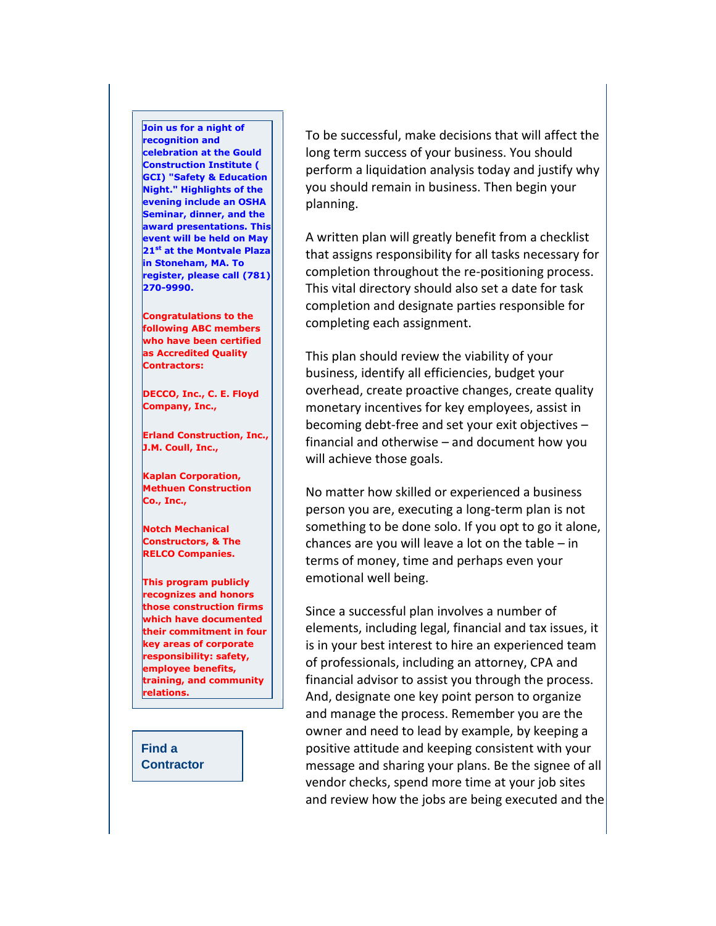**Join us for a night of recognition and celebration at the Gould Construction Institute ( GCI) "Safety & Education Night." Highlights of the evening include an OSHA Seminar, dinner, and the award presentations. This event will be held on May 21st at the Montvale Plaza in Stoneham, MA. To register, please call (781) 270-9990.**

**Congratulations to the following ABC members who have been certified as Accredited Quality Contractors:** 

**DECCO, Inc., C. E. Floyd Company, Inc.,** 

**Erland Construction, Inc., J.M. Coull, Inc.,** 

**Kaplan Corporation, Methuen Construction Co., Inc.,** 

**Notch Mechanical Constructors, & The RELCO Companies.** 

**This program publicly recognizes and honors those construction firms which have documented their commitment in four key areas of corporate responsibility: safety, employee benefits, training, and community relations.**

**[Find a](http://www.findcontractors.com/)  [Contractor](http://www.findcontractors.com/)** To be successful, make decisions that will affect the long term success of your business. You should perform a liquidation analysis today and justify why you should remain in business. Then begin your planning.

A written plan will greatly benefit from a checklist that assigns responsibility for all tasks necessary for completion throughout the re-positioning process. This vital directory should also set a date for task completion and designate parties responsible for completing each assignment.

This plan should review the viability of your business, identify all efficiencies, budget your overhead, create proactive changes, create quality monetary incentives for key employees, assist in becoming debt-free and set your exit objectives – financial and otherwise – and document how you will achieve those goals.

No matter how skilled or experienced a business person you are, executing a long-term plan is not something to be done solo. If you opt to go it alone, chances are you will leave a lot on the table  $-$  in terms of money, time and perhaps even your emotional well being.

Since a successful plan involves a number of elements, including legal, financial and tax issues, it is in your best interest to hire an experienced team of professionals, including an attorney, CPA and financial advisor to assist you through the process. And, designate one key point person to organize and manage the process. Remember you are the owner and need to lead by example, by keeping a positive attitude and keeping consistent with your message and sharing your plans. Be the signee of all vendor checks, spend more time at your job sites and review how the jobs are being executed and the